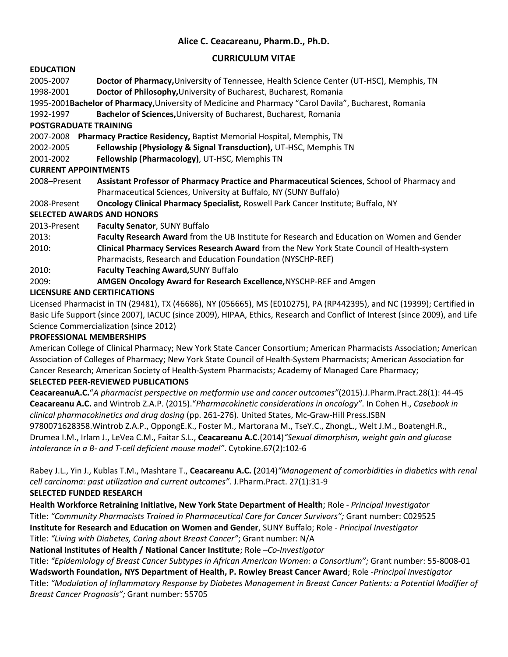# **Alice C. Ceacareanu, Pharm.D., Ph.D.**

## **CURRICULUM VITAE**

## **EDUCATION**

2005-2007 **Doctor of Pharmacy,**University of Tennessee, Health Science Center (UT-HSC), Memphis, TN 1998-2001 **Doctor of Philosophy,**University of Bucharest, Bucharest, Romania

1995-2001**Bachelor of Pharmacy,**University of Medicine and Pharmacy "Carol Davila", Bucharest, Romania

1992-1997 **Bachelor of Sciences,**University of Bucharest, Bucharest, Romania

## **POSTGRADUATE TRAINING**

2007-2008 **Pharmacy Practice Residency,** Baptist Memorial Hospital, Memphis, TN

2002-2005 **Fellowship (Physiology & Signal Transduction),** UT-HSC, Memphis TN

2001-2002 **Fellowship (Pharmacology)**, UT-HSC, Memphis TN

#### **CURRENT APPOINTMENTS**

2008–Present **Assistant Professor of Pharmacy Practice and Pharmaceutical Sciences**, School of Pharmacy and Pharmaceutical Sciences, University at Buffalo, NY (SUNY Buffalo)

2008-Present **Oncology Clinical Pharmacy Specialist,** Roswell Park Cancer Institute; Buffalo, NY

## **SELECTED AWARDS AND HONORS**

- 2013-Present **Faculty Senator**, SUNY Buffalo
- 2013: **Faculty Research Award** from the UB Institute for Research and Education on Women and Gender 2010: **Clinical Pharmacy Services Research Award** from the New York State Council of Health-system Pharmacists, Research and Education Foundation (NYSCHP-REF)
- 2010: **Faculty Teaching Award,**SUNY Buffalo
- 2009: **AMGEN Oncology Award for Research Excellence,**NYSCHP-REF and Amgen

## **LICENSURE AND CERTIFICATIONS**

Licensed Pharmacist in TN (29481), TX (46686), NY (056665), MS (E010275), PA (RP442395), and NC (19399); Certified in Basic Life Support (since 2007), IACUC (since 2009), HIPAA, Ethics, Research and Conflict of Interest (since 2009), and Life Science Commercialization (since 2012)

#### **PROFESSIONAL MEMBERSHIPS**

American College of Clinical Pharmacy; New York State Cancer Consortium; American Pharmacists Association; American Association of Colleges of Pharmacy; New York State Council of Health-System Pharmacists; American Association for Cancer Research; American Society of Health-System Pharmacists; Academy of Managed Care Pharmacy;

#### **SELECTED PEER-REVIEWED PUBLICATIONS**

**CeacareanuA.C.**"*A pharmacist perspective on metformin use and cancer outcomes"*(2015).J.Pharm.Pract.28(1): 44-45 **Ceacareanu A.C.** and Wintrob Z.A.P. (2015)."*Pharmacokinetic considerations in oncology"*. In Cohen H., *Casebook in clinical pharmacokinetics and drug dosing* (pp. 261-276). United States, Mc-Graw-Hill Press.ISBN 9780071628358.Wintrob Z.A.P., OppongE.K., Foster M., Martorana M., TseY.C., ZhongL., Welt J.M., BoatengH.R., Drumea I.M., Irlam J., LeVea C.M., Faitar S.L., **Ceacareanu A.C.**(2014)*"Sexual dimorphism, weight gain and glucose intolerance in a B- and T-cell deficient mouse model"*. Cytokine.67(2):102-6

Rabey J.L., Yin J., Kublas T.M., Mashtare T., **Ceacareanu A.C. (**2014)*"Management of comorbidities in diabetics with renal cell carcinoma: past utilization and current outcomes"*. J.Pharm.Pract. 27(1):31-9 **SELECTED FUNDED RESEARCH**

**Health Workforce Retraining Initiative, New York State Department of Health**; Role - *Principal Investigator* Title: *"Community Pharmacists Trained in Pharmaceutical Care for Cancer Survivors";* Grant number: C029525 **Institute for Research and Education on Women and Gender**, SUNY Buffalo; Role - *Principal Investigator* Title: *"Living with Diabetes, Caring about Breast Cancer"*; Grant number: N/A

**National Institutes of Health / National Cancer Institute**; Role –*Co-Investigator*

Title: *"Epidemiology of Breast Cancer Subtypes in African American Women: a Consortium";* Grant number: 55-8008-01 **Wadsworth Foundation, NYS Department of Health, P. Rowley Breast Cancer Award**; Role -*Principal Investigator* Title: *"Modulation of Inflammatory Response by Diabetes Management in Breast Cancer Patients: a Potential Modifier of Breast Cancer Prognosis";* Grant number: 55705